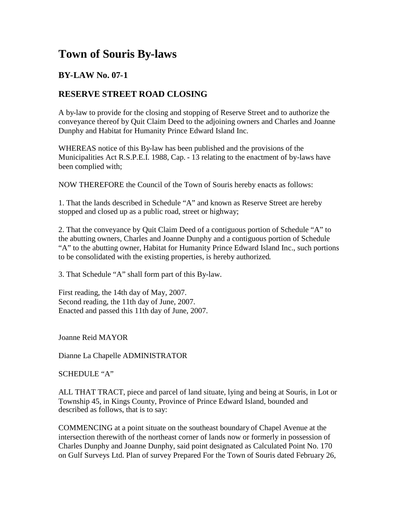## **Town of Souris By-laws**

## **BY-LAW No. 07-1**

## **RESERVE STREET ROAD CLOSING**

A by-law to provide for the closing and stopping of Reserve Street and to authorize the conveyance thereof by Quit Claim Deed to the adjoining owners and Charles and Joanne Dunphy and Habitat for Humanity Prince Edward Island Inc.

WHEREAS notice of this By-law has been published and the provisions of the Municipalities Act R.S.P.E.I. 1988, Cap. - 13 relating to the enactment of by-laws have been complied with;

NOW THEREFORE the Council of the Town of Souris hereby enacts as follows:

1. That the lands described in Schedule "A" and known as Reserve Street are hereby stopped and closed up as a public road, street or highway;

2. That the conveyance by Quit Claim Deed of a contiguous portion of Schedule "A" to the abutting owners, Charles and Joanne Dunphy and a contiguous portion of Schedule "A" to the abutting owner, Habitat for Humanity Prince Edward Island Inc., such portions to be consolidated with the existing properties, is hereby authorized.

3. That Schedule "A" shall form part of this By-law.

First reading, the 14th day of May, 2007. Second reading, the 11th day of June, 2007. Enacted and passed this 11th day of June, 2007.

Joanne Reid MAYOR

Dianne La Chapelle ADMINISTRATOR

SCHEDULE "A"

ALL THAT TRACT, piece and parcel of land situate, lying and being at Souris, in Lot or Township 45, in Kings County, Province of Prince Edward Island, bounded and described as follows, that is to say:

COMMENCING at a point situate on the southeast boundary of Chapel Avenue at the intersection therewith of the northeast corner of lands now or formerly in possession of Charles Dunphy and Joanne Dunphy, said point designated as Calculated Point No. 170 on Gulf Surveys Ltd. Plan of survey Prepared For the Town of Souris dated February 26,